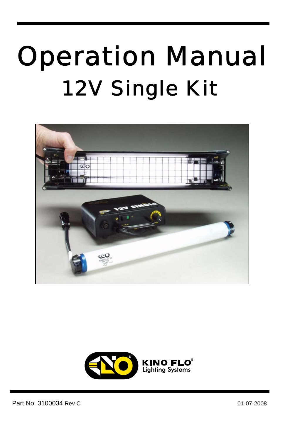# Operation Manual 12V Single Kit

I



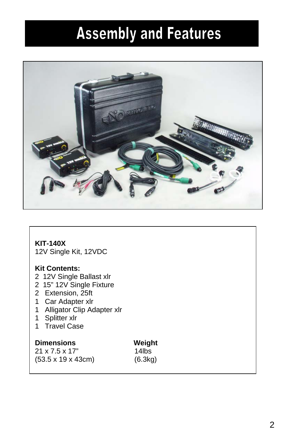### **Assembly and Features**



#### **KIT-140X**

12V Single Kit, 12VDC

#### **Kit Contents:**

- 2 12V Single Ballast xlr
- 2 15" 12V Single Fixture
- 2 Extension, 25ft
- 1 Car Adapter xlr
- 1 Alligator Clip Adapter xlr
- 1 Splitter xlr
- 1 Travel Case

#### **Dimensions Weight**

21 x 7.5 x 17" 14lbs (53.5 x 19 x 43cm) (6.3kg)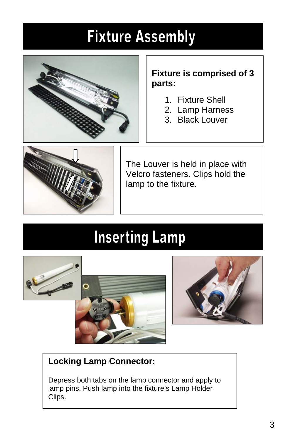### **Fixture Assembly**



#### **Fixture is comprised of 3 parts:**

- 1. Fixture Shell
- 2. Lamp Harness
- 3. Black Louver



The Louver is held in place with Velcro fasteners. Clips hold the lamp to the fixture.

### **Inserting Lamp**







### **Locking Lamp Connector:**

Depress both tabs on the lamp connector and apply to lamp pins. Push lamp into the fixture's Lamp Holder Clips.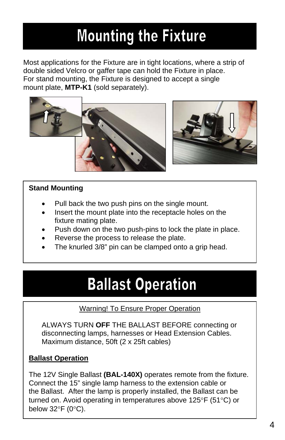### **Mounting the Fixture**

Most applications for the Fixture are in tight locations, where a strip of double sided Velcro or gaffer tape can hold the Fixture in place. For stand mounting, the Fixture is designed to accept a single mount plate, **MTP-K1** (sold separately).



#### **Stand Mounting**

- Pull back the two push pins on the single mount.
- Insert the mount plate into the receptacle holes on the fixture mating plate.
- Push down on the two push-pins to lock the plate in place.
- Reverse the process to release the plate.
- The knurled 3/8" pin can be clamped onto a grip head.

### **Ballast Operation**

#### Warning! To Ensure Proper Operation

ALWAYS TURN **OFF** THE BALLAST BEFORE connecting or disconnecting lamps, harnesses or Head Extension Cables. Maximum distance, 50ft (2 x 25ft cables)

#### **Ballast Operation**

The 12V Single Ballast **(BAL-140X)** operates remote from the fixture. Connect the 15" single lamp harness to the extension cable or the Ballast. After the lamp is properly installed, the Ballast can be turned on. Avoid operating in temperatures above 125°F (51°C) or below 32°F (0°C).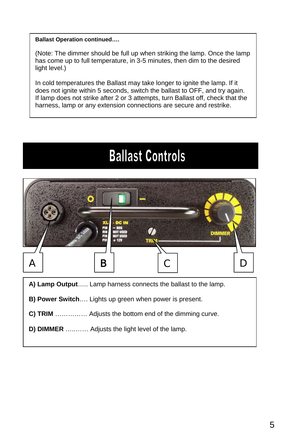#### **Ballast Operation continued….**

(Note: The dimmer should be full up when striking the lamp. Once the lamp has come up to full temperature, in 3-5 minutes, then dim to the desired light level.)

In cold temperatures the Ballast may take longer to ignite the lamp. If it does not ignite within 5 seconds, switch the ballast to OFF, and try again. If lamp does not strike after 2 or 3 attempts, turn Ballast off, check that the harness, lamp or any extension connections are secure and restrike.

### **Ballast Controls**



- **A) Lamp Output**….. Lamp harness connects the ballast to the lamp.
- **B) Power Switch**…. Lights up green when power is present.
- **C) TRIM** …………… Adjusts the bottom end of the dimming curve.
- **D) DIMMER** …..…… Adjusts the light level of the lamp.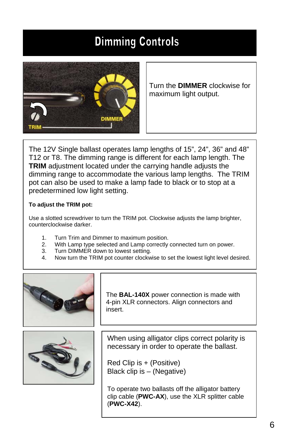### **Dimming Controls**



Turn the **DIMMER** clockwise for maximum light output.

The 12V Single ballast operates lamp lengths of 15", 24", 36" and 48" T12 or T8. The dimming range is different for each lamp length. The **TRIM** adjustment located under the carrying handle adjusts the dimming range to accommodate the various lamp lengths. The TRIM pot can also be used to make a lamp fade to black or to stop at a predetermined low light setting.

#### **To adjust the TRIM pot:**

Use a slotted screwdriver to turn the TRIM pot. Clockwise adjusts the lamp brighter, counterclockwise darker.

- 1. Turn Trim and Dimmer to maximum position.
- 2. With Lamp type selected and Lamp correctly connected turn on power.
- 3. Turn DIMMER down to lowest setting.
- 4. Now turn the TRIM pot counter clockwise to set the lowest light level desired.



The **BAL-140X** power connection is made with 4-pin XLR connectors. Align connectors and insert.



When using alligator clips correct polarity is necessary in order to operate the ballast.

Red Clip is + (Positive) Black clip is – (Negative)

To operate two ballasts off the alligator battery clip cable (**PWC-AX**), use the XLR splitter cable (**PWC-X42**).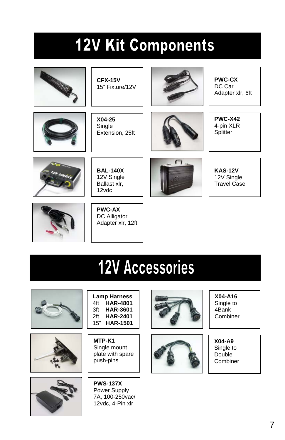### **12V Kit Components**



**CFX-15V**  15" Fixture/12V



**PWC-CX**  DC Car Adapter xlr, 6ft



**X04-25**  Single Extension, 25ft



**PWC-X42**  4-pin XLR **Splitter** 



**BAL-140X**  12V Single Ballast xlr, 12vdc



**KAS-12V**  12V Single Travel Case



**PWC-AX**  DC Alligator Adapter xlr, 12ft

## **12V Accessories**







**Lamp Harness**  4ft **HAR-4801**  3ft **HAR-3601**  2ft **HAR-2401**  15" **HAR-1501**

**MTP-K1**  Single mount plate with spare push-pins

**PWS-137X**  Power Supply 7A, 100-250vac/ 12vdc, 4-Pin xlr





**X04-A16**  Single to 4Bank Combiner

**X04-A9** Single to Double Combiner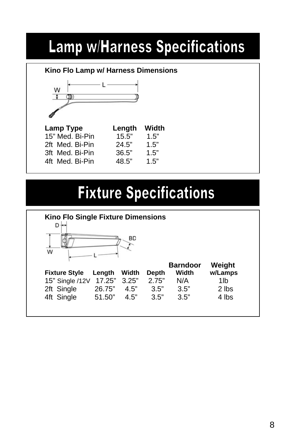### **Lamp w/Harness Specifications**

| Kino Flo Lamp w/ Harness Dimensions |        |       |
|-------------------------------------|--------|-------|
| W                                   |        |       |
|                                     |        |       |
|                                     |        |       |
|                                     |        |       |
| Lamp Type                           | Length | Width |
| 15" Med. Bi-Pin                     | 15.5"  | 1.5"  |
| 2ft Med. Bi-Pin                     | 24.5"  | 1.5"  |
|                                     |        |       |
| 3ft Med Bi-Pin                      | 36.5"  | 1.5"  |

### **Fixture Specifications**